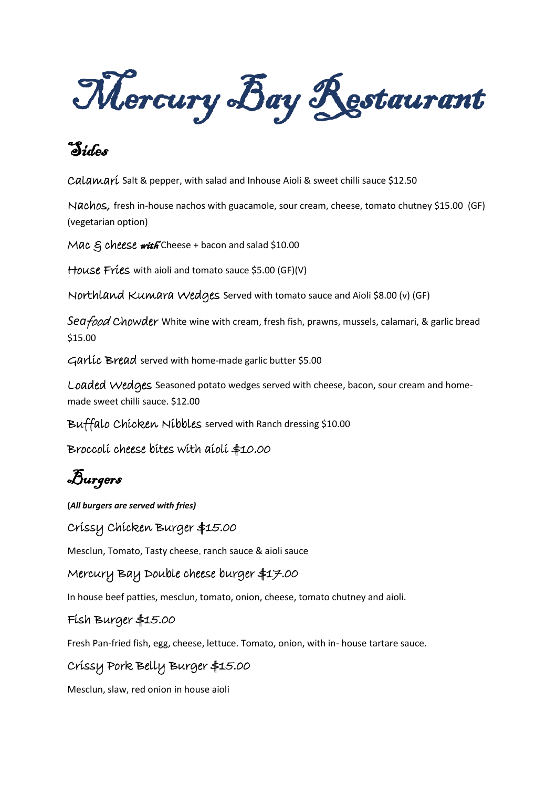Mercury Bay Restaurant

# Sides

Calamarí Salt & pepper, with salad and Inhouse Aioli & sweet chilli sauce \$12.50

Nachos, fresh in-house nachos with guacamole, sour cream, cheese, tomato chutney \$15.00 (GF) (vegetarian option)

Mac  $\epsilon$  cheese with Cheese + bacon and salad \$10.00

House Fries with aioli and tomato sauce \$5.00 (GF)(V)

Northland Kumara Wedges Served with tomato sauce and Aioli \$8.00 (v) (GF)

*Sea*food Chowder White wine with cream, fresh fish, prawns, mussels, calamari, & garlic bread \$15.00

Garlic Bread served with home-made garlic butter \$5.00

Loaded Wedges Seasoned potato wedges served with cheese, bacon, sour cream and homemade sweet chilli sauce. \$12.00

Buffalo Chicken Nibbles served with Ranch dressing \$10.00

Broccoli cheese bites with aioli \$10.00

Burgers

**(***All burgers are served with fries)*

Crissy Chicken Burger \$15.00

Mesclun, Tomato, Tasty cheese, ranch sauce & aioli sauce

Mercury Bay Double cheese burger \$17.00

In house beef patties, mesclun, tomato, onion, cheese, tomato chutney and aioli.

#### Fish Burger \$15.00

Fresh Pan-fried fish, egg, cheese, lettuce. Tomato, onion, with in- house tartare sauce.

# Crissy Pork Belly Burger \$15.00

Mesclun, slaw, red onion in house aioli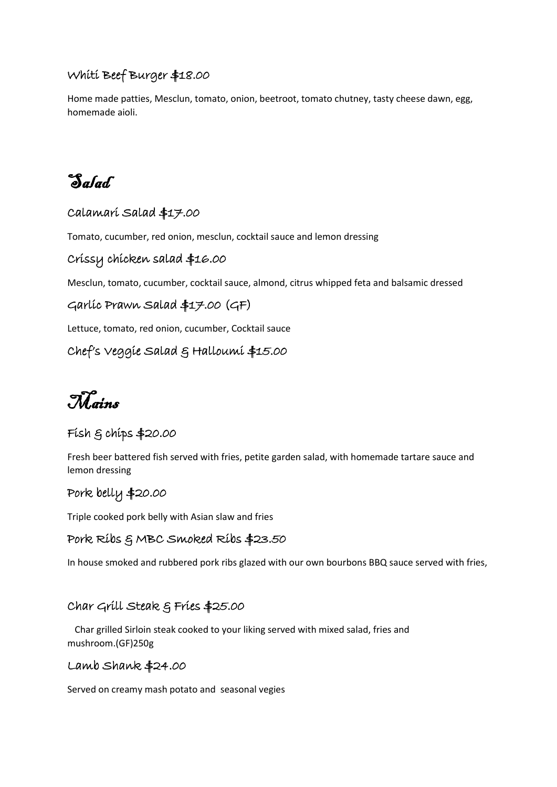# Whiti Beef Burger \$18.00

Home made patties, Mesclun, tomato, onion, beetroot, tomato chutney, tasty cheese dawn, egg, homemade aioli.

Salad

#### Calamari Salad \$17.00

Tomato, cucumber, red onion, mesclun, cocktail sauce and lemon dressing

### Crissy chicken salad \$16.00

Mesclun, tomato, cucumber, cocktail sauce, almond, citrus whipped feta and balsamic dressed

## Garlic Prawn Salad \$17.00 (GF)

Lettuce, tomato, red onion, cucumber, Cocktail sauce

### Chef's Veggie Salad & Halloumi \$15.00

Mains

# Fish & chips \$20.00

Fresh beer battered fish served with fries, petite garden salad, with homemade tartare sauce and lemon dressing

## Pork belly \$20.00

Triple cooked pork belly with Asian slaw and fries

#### Pork Ribs & MBC Smoked Ribs \$23.50

In house smoked and rubbered pork ribs glazed with our own bourbons BBQ sauce served with fries,

#### Char Grill Steak & Fries \$25.00

Char grilled Sirloin steak cooked to your liking served with mixed salad, fries and mushroom.(GF)250g

#### Lamb Shank \$24.00

Served on creamy mash potato and seasonal vegies